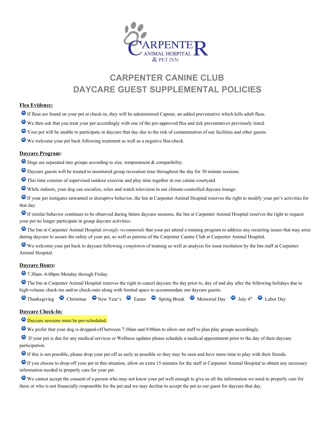

# **CARPENTER CANINE CLUB DAYCARE GUEST SUPPLEMENTAL POLICIES**

#### **Flea Evidence:**

- If fleas are found on your pet at check-in, they will be administered Capstar, an added preventative which kills adult fleas.
- We then ask that you treat your pet accordingly with one of the pre-approved flea and tick preventatives previously listed.
- Your pet will be unable to participate in daycare that day due to the risk of contamination of our facilities and other guests.
- We welcome your pet back following treatment as well as a negative flea-check.

### **Daycare Program:**

- $\bullet$  Dogs are separated into groups according to size, temperament  $\&$  compatibility.
- Daycare guests will be treated to monitored group recreation time throughout the day for 30 minute sessions.
- This time consists of supervised outdoor exercise and play time together in our canine courtyard.
- While indoors, your dog can socialize, relax and watch television in our climate-controlled daycare lounge.

If your pet instigates unwanted or disruptive behavior, the Inn at Carpenter Animal Hospital reserves the right to modify your pet's activities for that day.

If similar behavior continues to be observed during future daycare sessions, the Inn at Carpenter Animal Hospital reserves the right to request your pet no longer participate in group daycare activities.

The Inn at Carpenter Animal Hospital *strongly recommends* that your pet attend a training program to address any recurring issues that may arise during daycare to assure the safety of your pet, as well as patrons of the Carpenter Canine Club at Carpenter Animal Hospital.

We welcome your pet back to daycare following *completion* of training as well as analysis for issue resolution by the Inn staff at Carpenter Animal Hospital.

#### **Daycare Hours:**

7:30am 6:00pm Monday through Friday.

The Inn at Carpenter Animal Hospital reserves the right to cancel daycare the day prior to, day of and day after the following holidays due to high-volume check-ins and/or check-outs along with limited space to accommodate our daycare guests.

Thanksgiving Christmas Wew Year's Easter Spring Break Memorial Day We July 4<sup>th</sup> Labor Day

#### **Daycare Check-In:**

- Daycare sessions must be pre-scheduled.
- We prefer that your dog is dropped-off between 7:30am and 9:00am to allow our staff to plan play groups accordingly.

If your pet is due for any medical services or Wellness updates please schedule a medical appointment prior to the day of their daycare participation.

If this is not possible, please drop your pet off as early as possible so they may be seen and have more time to play with their friends.

If you choose to drop-off your pet in this situation, allow an extra 15 minutes for the staff at Carpenter Animal Hospital to obtain any necessary information needed to properly care for your pet.

We cannot accept the consent of a person who may not know your pet well enough to give us all the information we need to properly care for them or who is not financially responsible for the pet and we may decline to accept the pet as our guest for daycare that day.